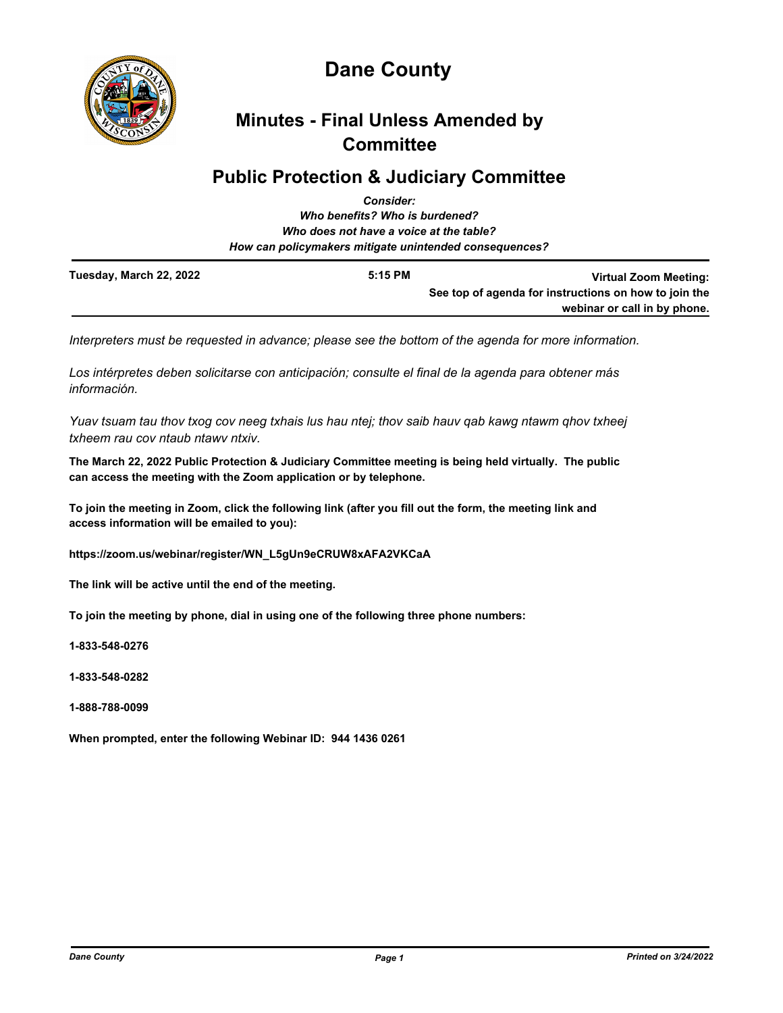

# **Dane County**

# **Minutes - Final Unless Amended by Committee**

# **Public Protection & Judiciary Committee**

|                         | <b>Consider:</b>                                       |                                                       |
|-------------------------|--------------------------------------------------------|-------------------------------------------------------|
|                         | Who benefits? Who is burdened?                         |                                                       |
|                         | Who does not have a voice at the table?                |                                                       |
|                         | How can policymakers mitigate unintended consequences? |                                                       |
| Tuesday, March 22, 2022 | $5:15$ PM                                              | <b>Virtual Zoom Meeting:</b>                          |
|                         |                                                        | See top of agenda for instructions on how to join the |

*Interpreters must be requested in advance; please see the bottom of the agenda for more information.*

*Los intérpretes deben solicitarse con anticipación; consulte el final de la agenda para obtener más información.*

*Yuav tsuam tau thov txog cov neeg txhais lus hau ntej; thov saib hauv qab kawg ntawm qhov txheej txheem rau cov ntaub ntawv ntxiv.*

**The March 22, 2022 Public Protection & Judiciary Committee meeting is being held virtually. The public can access the meeting with the Zoom application or by telephone.**

**To join the meeting in Zoom, click the following link (after you fill out the form, the meeting link and access information will be emailed to you):** 

**https://zoom.us/webinar/register/WN\_L5gUn9eCRUW8xAFA2VKCaA**

**The link will be active until the end of the meeting.**

**To join the meeting by phone, dial in using one of the following three phone numbers:**

**1-833-548-0276**

**1-833-548-0282**

**1-888-788-0099**

**When prompted, enter the following Webinar ID: 944 1436 0261**

**webinar or call in by phone.**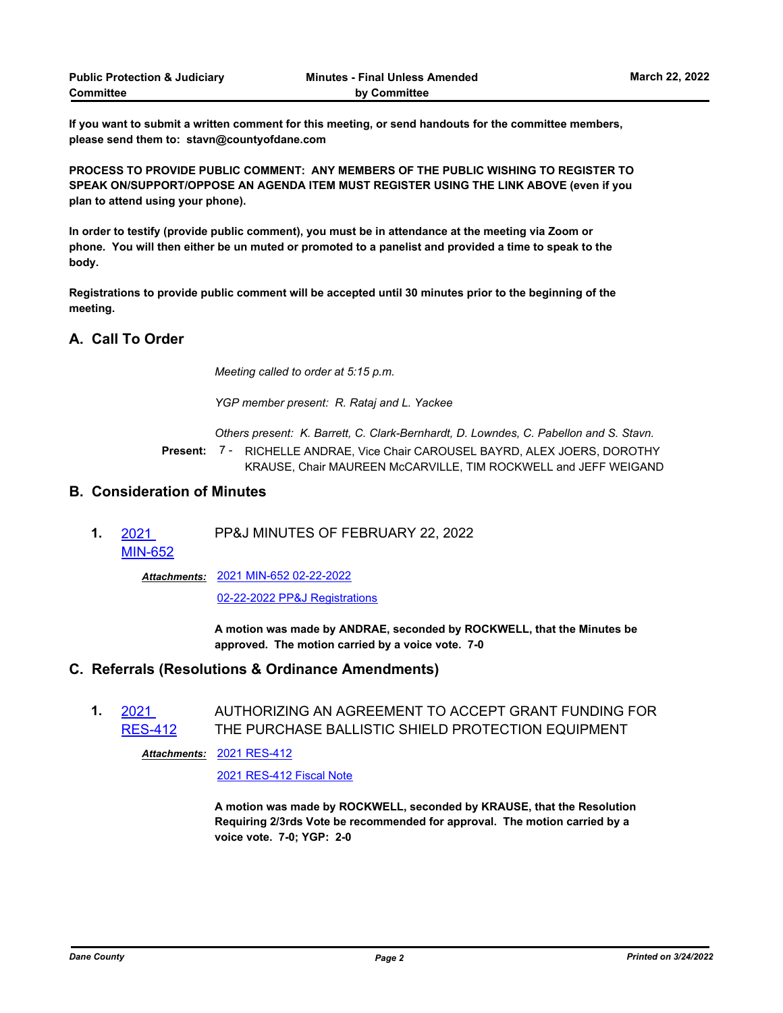**If you want to submit a written comment for this meeting, or send handouts for the committee members, please send them to: stavn@countyofdane.com**

**PROCESS TO PROVIDE PUBLIC COMMENT: ANY MEMBERS OF THE PUBLIC WISHING TO REGISTER TO SPEAK ON/SUPPORT/OPPOSE AN AGENDA ITEM MUST REGISTER USING THE LINK ABOVE (even if you plan to attend using your phone).**

**In order to testify (provide public comment), you must be in attendance at the meeting via Zoom or phone. You will then either be un muted or promoted to a panelist and provided a time to speak to the body.**

**Registrations to provide public comment will be accepted until 30 minutes prior to the beginning of the meeting.**

# **A. Call To Order**

*Meeting called to order at 5:15 p.m.*

*YGP member present: R. Rataj and L. Yackee*

*Others present: K. Barrett, C. Clark-Bernhardt, D. Lowndes, C. Pabellon and S. Stavn.*

Present: 7 - RICHELLE ANDRAE, Vice Chair CAROUSEL BAYRD, ALEX JOERS, DOROTHY KRAUSE, Chair MAUREEN McCARVILLE, TIM ROCKWELL and JEFF WEIGAND

# **B. Consideration of Minutes**

**1.** 2021 PP&J MINUTES OF FEBRUARY 22, 2022

[MIN-652](http://dane.legistar.com/gateway.aspx?m=l&id=/matter.aspx?key=22356)

[2021 MIN-652 02-22-2022](http://dane.legistar.com/gateway.aspx?M=F&ID=54c4054d-cf55-45e9-a545-bc17bb7665e3.pdf) *Attachments:*

[02-22-2022 PP&J Registrations](http://dane.legistar.com/gateway.aspx?M=F&ID=41b8710f-cd8d-465c-902b-bffeb97667b7.pdf)

**A motion was made by ANDRAE, seconded by ROCKWELL, that the Minutes be approved. The motion carried by a voice vote. 7-0**

# **C. Referrals (Resolutions & Ordinance Amendments)**

**1.** 2021 [RES-412](http://dane.legistar.com/gateway.aspx?m=l&id=/matter.aspx?key=22512) AUTHORIZING AN AGREEMENT TO ACCEPT GRANT FUNDING FOR THE PURCHASE BALLISTIC SHIELD PROTECTION EQUIPMENT

### [2021 RES-412](http://dane.legistar.com/gateway.aspx?M=F&ID=28dc6040-b8eb-466a-9408-2a8d724a7798.pdf) *Attachments:*

[2021 RES-412 Fiscal Note](http://dane.legistar.com/gateway.aspx?M=F&ID=7f1d20e7-d5aa-448f-a35a-adc3c5a4692a.pdf)

**A motion was made by ROCKWELL, seconded by KRAUSE, that the Resolution Requiring 2/3rds Vote be recommended for approval. The motion carried by a voice vote. 7-0; YGP: 2-0**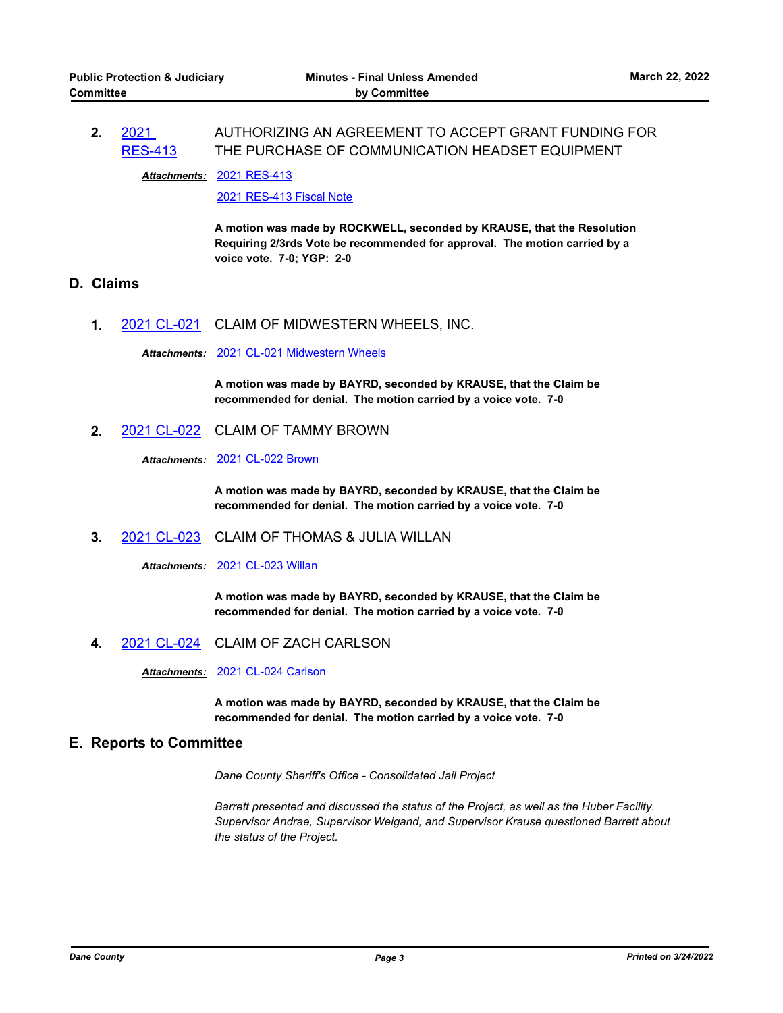#### **2.** 2021 [RES-413](http://dane.legistar.com/gateway.aspx?m=l&id=/matter.aspx?key=22513) AUTHORIZING AN AGREEMENT TO ACCEPT GRANT FUNDING FOR THE PURCHASE OF COMMUNICATION HEADSET EQUIPMENT

[2021 RES-413](http://dane.legistar.com/gateway.aspx?M=F&ID=604fdc72-ba22-4a4c-abcd-36f11e42d175.pdf) *Attachments:*

[2021 RES-413 Fiscal Note](http://dane.legistar.com/gateway.aspx?M=F&ID=8bac9888-b26b-4a26-91e9-7acab02c764d.pdf)

**A motion was made by ROCKWELL, seconded by KRAUSE, that the Resolution Requiring 2/3rds Vote be recommended for approval. The motion carried by a voice vote. 7-0; YGP: 2-0**

# **D. Claims**

**1.** [2021 CL-021](http://dane.legistar.com/gateway.aspx?m=l&id=/matter.aspx?key=22540) CLAIM OF MIDWESTERN WHEELS, INC.

*Attachments:* [2021 CL-021 Midwestern Wheels](http://dane.legistar.com/gateway.aspx?M=F&ID=c95589a6-c00f-434b-9f05-731b8ad563d3.pdf)

**A motion was made by BAYRD, seconded by KRAUSE, that the Claim be recommended for denial. The motion carried by a voice vote. 7-0**

**2.** [2021 CL-022](http://dane.legistar.com/gateway.aspx?m=l&id=/matter.aspx?key=22541) CLAIM OF TAMMY BROWN

*Attachments:* [2021 CL-022 Brown](http://dane.legistar.com/gateway.aspx?M=F&ID=c20000cb-4717-420c-a7b5-fab09d85fc32.pdf)

**A motion was made by BAYRD, seconded by KRAUSE, that the Claim be recommended for denial. The motion carried by a voice vote. 7-0**

**3.** [2021 CL-023](http://dane.legistar.com/gateway.aspx?m=l&id=/matter.aspx?key=22542) CLAIM OF THOMAS & JULIA WILLAN

*Attachments:* [2021 CL-023 Willan](http://dane.legistar.com/gateway.aspx?M=F&ID=3576e77b-7214-46e6-84dc-9c7007d19efe.pdf)

**A motion was made by BAYRD, seconded by KRAUSE, that the Claim be recommended for denial. The motion carried by a voice vote. 7-0**

**4.** [2021 CL-024](http://dane.legistar.com/gateway.aspx?m=l&id=/matter.aspx?key=22543) CLAIM OF ZACH CARLSON

*Attachments:* [2021 CL-024 Carlson](http://dane.legistar.com/gateway.aspx?M=F&ID=c9f5c444-0e47-463e-9f58-bb46cabc9822.pdf)

**A motion was made by BAYRD, seconded by KRAUSE, that the Claim be recommended for denial. The motion carried by a voice vote. 7-0**

### **E. Reports to Committee**

*Dane County Sheriff's Office - Consolidated Jail Project*

*Barrett presented and discussed the status of the Project, as well as the Huber Facility. Supervisor Andrae, Supervisor Weigand, and Supervisor Krause questioned Barrett about the status of the Project.*